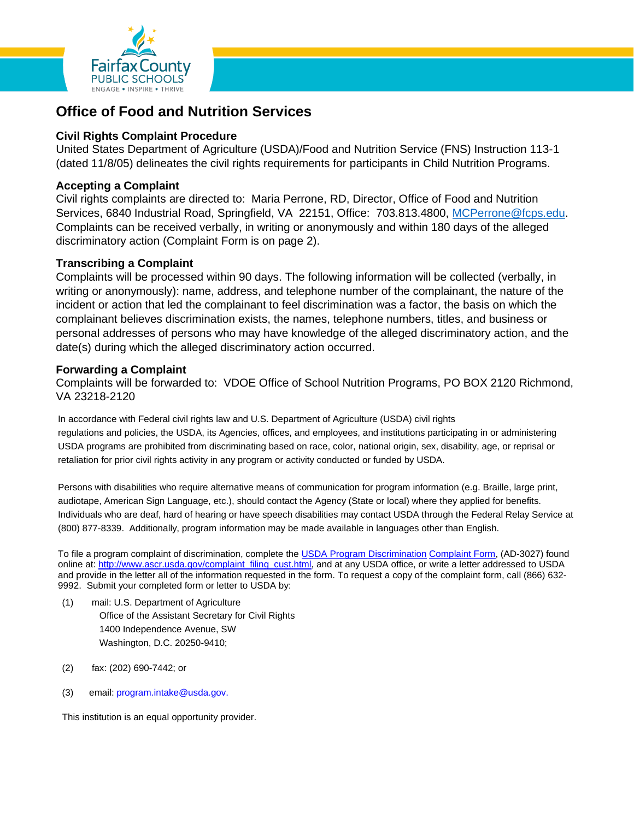

# **Office of Food and Nutrition Services**

## **Civil Rights Complaint Procedure**

United States Department of Agriculture (USDA)/Food and Nutrition Service (FNS) Instruction 113-1 (dated 11/8/05) delineates the civil rights requirements for participants in Child Nutrition Programs.

## **Accepting a Complaint**

Civil rights complaints are directed to: Maria Perrone, RD, Director, Office of Food and Nutrition Services, 6840 Industrial Road, Springfield, VA 22151, Office: 703.813.4800, [MCPerrone@fcps.edu.](mailto:MCPerrone@fcps.edu) Complaints can be received verbally, in writing or anonymously and within 180 days of the alleged discriminatory action (Complaint Form is on page 2).

#### **Transcribing a Complaint**

Complaints will be processed within 90 days. The following information will be collected (verbally, in writing or anonymously): name, address, and telephone number of the complainant, the nature of the incident or action that led the complainant to feel discrimination was a factor, the basis on which the complainant believes discrimination exists, the names, telephone numbers, titles, and business or personal addresses of persons who may have knowledge of the alleged discriminatory action, and the date(s) during which the alleged discriminatory action occurred.

#### **Forwarding a Complaint**

Complaints will be forwarded to: VDOE Office of School Nutrition Programs, PO BOX 2120 Richmond, VA 23218-2120

In accordance with Federal civil rights law and U.S. Department of Agriculture (USDA) civil rights regulations and policies, the USDA, its Agencies, offices, and employees, and institutions participating in or administering USDA programs are prohibited from discriminating based on race, color, national origin, sex, disability, age, or reprisal or retaliation for prior civil rights activity in any program or activity conducted or funded by USDA.

Persons with disabilities who require alternative means of communication for program information (e.g. Braille, large print, audiotape, American Sign Language, etc.), should contact the Agency (State or local) where they applied for benefits. Individuals who are deaf, hard of hearing or have speech disabilities may contact USDA through the Federal Relay Service at (800) 877-8339. Additionally, program information may be made available in languages other than English.

To file a program complaint of discrimination, complete the [USDA Program Discrimination](http://www.ocio.usda.gov/sites/default/files/docs/2012/Complain_combined_6_8_12.pdf) [Complaint Form,](http://www.ocio.usda.gov/sites/default/files/docs/2012/Complain_combined_6_8_12.pdf) (AD-3027) found online at: [http://www.ascr.usda.gov/complaint\\_filing\\_cust.html,](http://www.ascr.usda.gov/complaint_filing_cust.html) and at any USDA office, or write a letter addressed to USDA and provide in the letter all of the information requested in the form. To request a copy of the complaint form, call (866) 632- 9992. Submit your completed form or letter to USDA by:

- (1) mail: U.S. Department of Agriculture Office of the Assistant Secretary for Civil Rights 1400 Independence Avenue, SW Washington, D.C. 20250-9410;
- (2) fax: (202) 690-7442; or
- (3) email: [program.intake@usda.gov.](mailto:program.intake@usda.gov)

This institution is an equal opportunity provider.